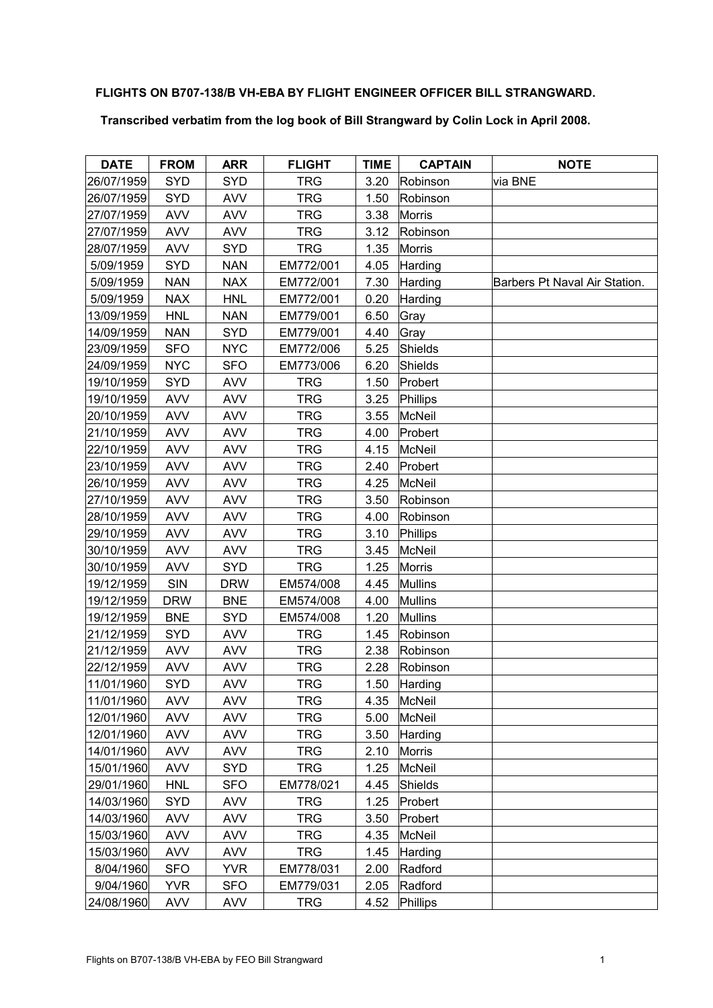## **FLIGHTS ON B707-138/B VH-EBA BY FLIGHT ENGINEER OFFICER BILL STRANGWARD.**

## **Transcribed verbatim from the log book of Bill Strangward by Colin Lock in April 2008.**

| <b>DATE</b> | <b>FROM</b> | <b>ARR</b> | <b>FLIGHT</b> | <b>TIME</b> | <b>CAPTAIN</b> | <b>NOTE</b>                   |
|-------------|-------------|------------|---------------|-------------|----------------|-------------------------------|
| 26/07/1959  | <b>SYD</b>  | <b>SYD</b> | TRG           | 3.20        | Robinson       | via BNE                       |
| 26/07/1959  | <b>SYD</b>  | <b>AVV</b> | <b>TRG</b>    | 1.50        | Robinson       |                               |
| 27/07/1959  | <b>AVV</b>  | <b>AVV</b> | <b>TRG</b>    | 3.38        | <b>Morris</b>  |                               |
| 27/07/1959  | <b>AVV</b>  | <b>AVV</b> | <b>TRG</b>    | 3.12        | Robinson       |                               |
| 28/07/1959  | <b>AVV</b>  | <b>SYD</b> | <b>TRG</b>    | 1.35        | <b>Morris</b>  |                               |
| 5/09/1959   | <b>SYD</b>  | <b>NAN</b> | EM772/001     | 4.05        | Harding        |                               |
| 5/09/1959   | <b>NAN</b>  | <b>NAX</b> | EM772/001     | 7.30        | Harding        | Barbers Pt Naval Air Station. |
| 5/09/1959   | <b>NAX</b>  | <b>HNL</b> | EM772/001     | 0.20        | Harding        |                               |
| 13/09/1959  | <b>HNL</b>  | <b>NAN</b> | EM779/001     | 6.50        | Gray           |                               |
| 14/09/1959  | <b>NAN</b>  | <b>SYD</b> | EM779/001     | 4.40        | Gray           |                               |
| 23/09/1959  | <b>SFO</b>  | <b>NYC</b> | EM772/006     | 5.25        | Shields        |                               |
| 24/09/1959  | <b>NYC</b>  | <b>SFO</b> | EM773/006     | 6.20        | Shields        |                               |
| 19/10/1959  | <b>SYD</b>  | <b>AVV</b> | <b>TRG</b>    | 1.50        | Probert        |                               |
| 19/10/1959  | <b>AVV</b>  | <b>AVV</b> | <b>TRG</b>    | 3.25        | Phillips       |                               |
| 20/10/1959  | <b>AVV</b>  | <b>AVV</b> | <b>TRG</b>    | 3.55        | <b>McNeil</b>  |                               |
| 21/10/1959  | <b>AVV</b>  | <b>AVV</b> | <b>TRG</b>    | 4.00        | Probert        |                               |
| 22/10/1959  | <b>AVV</b>  | <b>AVV</b> | <b>TRG</b>    | 4.15        | <b>McNeil</b>  |                               |
| 23/10/1959  | <b>AVV</b>  | <b>AVV</b> | <b>TRG</b>    | 2.40        | Probert        |                               |
| 26/10/1959  | <b>AVV</b>  | <b>AVV</b> | <b>TRG</b>    | 4.25        | <b>McNeil</b>  |                               |
| 27/10/1959  | <b>AVV</b>  | <b>AVV</b> | <b>TRG</b>    | 3.50        | Robinson       |                               |
| 28/10/1959  | <b>AVV</b>  | <b>AVV</b> | <b>TRG</b>    | 4.00        | Robinson       |                               |
| 29/10/1959  | <b>AVV</b>  | <b>AVV</b> | <b>TRG</b>    | 3.10        | Phillips       |                               |
| 30/10/1959  | <b>AVV</b>  | <b>AVV</b> | <b>TRG</b>    | 3.45        | McNeil         |                               |
| 30/10/1959  | <b>AVV</b>  | <b>SYD</b> | <b>TRG</b>    | 1.25        | <b>Morris</b>  |                               |
| 19/12/1959  | <b>SIN</b>  | <b>DRW</b> | EM574/008     | 4.45        | <b>Mullins</b> |                               |
| 19/12/1959  | <b>DRW</b>  | <b>BNE</b> | EM574/008     | 4.00        | <b>Mullins</b> |                               |
| 19/12/1959  | <b>BNE</b>  | <b>SYD</b> | EM574/008     | 1.20        | <b>Mullins</b> |                               |
| 21/12/1959  | <b>SYD</b>  | <b>AVV</b> | <b>TRG</b>    | 1.45        | Robinson       |                               |
| 21/12/1959  | <b>AVV</b>  | <b>AVV</b> | <b>TRG</b>    | 2.38        | Robinson       |                               |
| 22/12/1959  | <b>AVV</b>  | <b>AVV</b> | <b>TRG</b>    | 2.28        | Robinson       |                               |
| 11/01/1960  | <b>SYD</b>  | <b>AVV</b> | <b>TRG</b>    | 1.50        | Harding        |                               |
| 11/01/1960  | <b>AVV</b>  | <b>AVV</b> | <b>TRG</b>    | 4.35        | <b>McNeil</b>  |                               |
| 12/01/1960  | <b>AVV</b>  | <b>AVV</b> | <b>TRG</b>    | 5.00        | <b>McNeil</b>  |                               |
| 12/01/1960  | <b>AVV</b>  | <b>AVV</b> | <b>TRG</b>    | 3.50        | Harding        |                               |
| 14/01/1960  | <b>AVV</b>  | <b>AVV</b> | <b>TRG</b>    | 2.10        | <b>Morris</b>  |                               |
| 15/01/1960  | <b>AVV</b>  | <b>SYD</b> | TRG           | 1.25        | <b>McNeil</b>  |                               |
| 29/01/1960  | <b>HNL</b>  | <b>SFO</b> | EM778/021     | 4.45        | Shields        |                               |
| 14/03/1960  | SYD         | <b>AVV</b> | <b>TRG</b>    | 1.25        | Probert        |                               |
| 14/03/1960  | <b>AVV</b>  | <b>AVV</b> | TRG           | 3.50        | Probert        |                               |
| 15/03/1960  | <b>AVV</b>  | <b>AVV</b> | <b>TRG</b>    | 4.35        | McNeil         |                               |
| 15/03/1960  | <b>AVV</b>  | <b>AVV</b> | <b>TRG</b>    | 1.45        | Harding        |                               |
| 8/04/1960   | <b>SFO</b>  | <b>YVR</b> | EM778/031     | 2.00        | Radford        |                               |
| 9/04/1960   | <b>YVR</b>  | <b>SFO</b> | EM779/031     | 2.05        | Radford        |                               |
| 24/08/1960  | <b>AVV</b>  | <b>AVV</b> | <b>TRG</b>    | 4.52        | Phillips       |                               |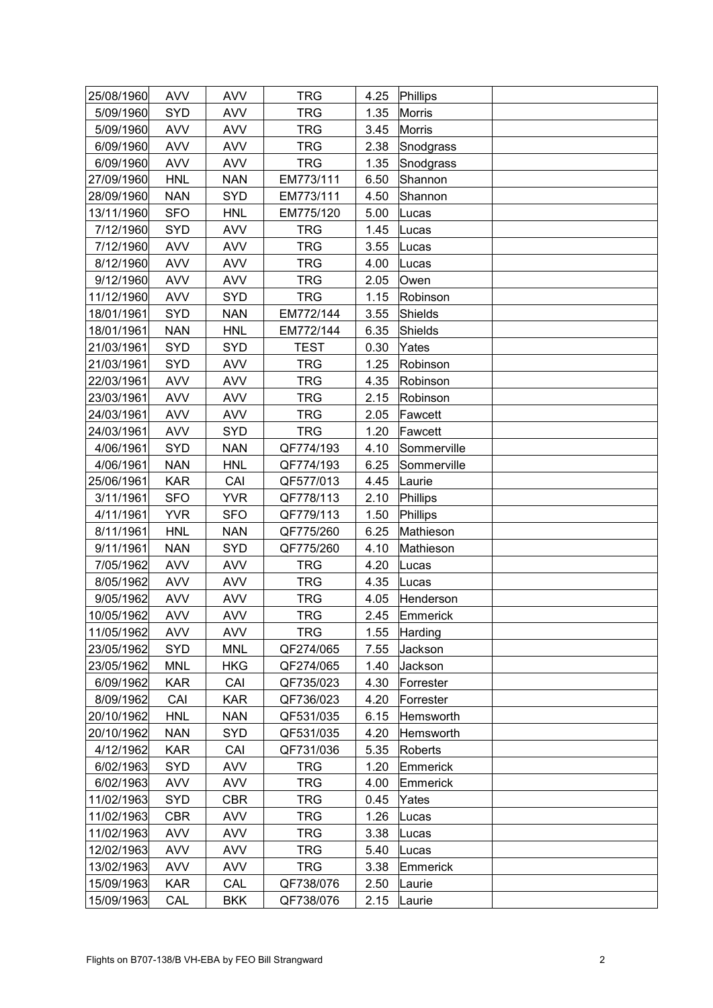| 25/08/1960 | <b>AVV</b> | <b>AVV</b> | <b>TRG</b>  | 4.25 | Phillips      |  |
|------------|------------|------------|-------------|------|---------------|--|
| 5/09/1960  | <b>SYD</b> | <b>AVV</b> | <b>TRG</b>  | 1.35 | Morris        |  |
| 5/09/1960  | <b>AVV</b> | <b>AVV</b> | <b>TRG</b>  | 3.45 | <b>Morris</b> |  |
| 6/09/1960  | <b>AVV</b> | <b>AVV</b> | <b>TRG</b>  | 2.38 | Snodgrass     |  |
| 6/09/1960  | <b>AVV</b> | <b>AVV</b> | <b>TRG</b>  | 1.35 | Snodgrass     |  |
| 27/09/1960 | <b>HNL</b> | <b>NAN</b> | EM773/111   | 6.50 | Shannon       |  |
| 28/09/1960 | <b>NAN</b> | SYD        | EM773/111   | 4.50 | Shannon       |  |
| 13/11/1960 | <b>SFO</b> | <b>HNL</b> | EM775/120   | 5.00 | Lucas         |  |
| 7/12/1960  | <b>SYD</b> | <b>AVV</b> | <b>TRG</b>  | 1.45 | Lucas         |  |
| 7/12/1960  | <b>AVV</b> | <b>AVV</b> | <b>TRG</b>  | 3.55 | Lucas         |  |
| 8/12/1960  | <b>AVV</b> | <b>AVV</b> | <b>TRG</b>  | 4.00 | Lucas         |  |
| 9/12/1960  | <b>AVV</b> | <b>AVV</b> | <b>TRG</b>  | 2.05 | Owen          |  |
| 11/12/1960 | <b>AVV</b> | <b>SYD</b> | <b>TRG</b>  | 1.15 | Robinson      |  |
| 18/01/1961 | <b>SYD</b> | <b>NAN</b> | EM772/144   | 3.55 | Shields       |  |
| 18/01/1961 | <b>NAN</b> | <b>HNL</b> | EM772/144   | 6.35 | Shields       |  |
| 21/03/1961 | <b>SYD</b> | <b>SYD</b> | <b>TEST</b> | 0.30 | Yates         |  |
| 21/03/1961 | <b>SYD</b> | <b>AVV</b> | <b>TRG</b>  | 1.25 | Robinson      |  |
| 22/03/1961 | <b>AVV</b> | <b>AVV</b> | <b>TRG</b>  | 4.35 | Robinson      |  |
| 23/03/1961 | <b>AVV</b> | <b>AVV</b> | <b>TRG</b>  | 2.15 | Robinson      |  |
| 24/03/1961 | <b>AVV</b> | <b>AVV</b> | <b>TRG</b>  | 2.05 | Fawcett       |  |
| 24/03/1961 | <b>AVV</b> | <b>SYD</b> | <b>TRG</b>  | 1.20 | Fawcett       |  |
| 4/06/1961  | <b>SYD</b> | <b>NAN</b> | QF774/193   | 4.10 | Sommerville   |  |
| 4/06/1961  | <b>NAN</b> | <b>HNL</b> | QF774/193   | 6.25 | Sommerville   |  |
| 25/06/1961 | <b>KAR</b> | CAI        | QF577/013   | 4.45 | Laurie        |  |
| 3/11/1961  | <b>SFO</b> | <b>YVR</b> | QF778/113   | 2.10 | Phillips      |  |
| 4/11/1961  | <b>YVR</b> | <b>SFO</b> | QF779/113   | 1.50 | Phillips      |  |
| 8/11/1961  | <b>HNL</b> | <b>NAN</b> | QF775/260   | 6.25 | Mathieson     |  |
| 9/11/1961  | <b>NAN</b> | <b>SYD</b> | QF775/260   | 4.10 | Mathieson     |  |
| 7/05/1962  | <b>AVV</b> | <b>AVV</b> | <b>TRG</b>  | 4.20 | Lucas         |  |
| 8/05/1962  | <b>AVV</b> | <b>AVV</b> | <b>TRG</b>  | 4.35 | Lucas         |  |
| 9/05/1962  | <b>AVV</b> | <b>AVV</b> | <b>TRG</b>  | 4.05 | Henderson     |  |
| 10/05/1962 | <b>AVV</b> | <b>AVV</b> | <b>TRG</b>  | 2.45 | Emmerick      |  |
| 11/05/1962 | <b>AVV</b> | <b>AVV</b> | <b>TRG</b>  | 1.55 | Harding       |  |
| 23/05/1962 | <b>SYD</b> | <b>MNL</b> | QF274/065   | 7.55 | Jackson       |  |
| 23/05/1962 | <b>MNL</b> | <b>HKG</b> | QF274/065   | 1.40 | Jackson       |  |
| 6/09/1962  | <b>KAR</b> | CAI        | QF735/023   | 4.30 | Forrester     |  |
| 8/09/1962  | CAI        | <b>KAR</b> | QF736/023   | 4.20 | Forrester     |  |
| 20/10/1962 | <b>HNL</b> | <b>NAN</b> | QF531/035   | 6.15 | Hemsworth     |  |
| 20/10/1962 | <b>NAN</b> | <b>SYD</b> | QF531/035   | 4.20 | Hemsworth     |  |
| 4/12/1962  | <b>KAR</b> | CAI        | QF731/036   | 5.35 | Roberts       |  |
| 6/02/1963  | <b>SYD</b> | <b>AVV</b> | TRG         | 1.20 | Emmerick      |  |
| 6/02/1963  | <b>AVV</b> | <b>AVV</b> | TRG         | 4.00 | Emmerick      |  |
| 11/02/1963 | <b>SYD</b> | <b>CBR</b> | <b>TRG</b>  | 0.45 | Yates         |  |
| 11/02/1963 | <b>CBR</b> | <b>AVV</b> | <b>TRG</b>  | 1.26 | Lucas         |  |
| 11/02/1963 | <b>AVV</b> | <b>AVV</b> | <b>TRG</b>  | 3.38 | Lucas         |  |
| 12/02/1963 | <b>AVV</b> | <b>AVV</b> | <b>TRG</b>  | 5.40 | Lucas         |  |
| 13/02/1963 | <b>AVV</b> | <b>AVV</b> | <b>TRG</b>  | 3.38 | Emmerick      |  |
| 15/09/1963 | <b>KAR</b> | CAL        | QF738/076   | 2.50 | Laurie        |  |
| 15/09/1963 | CAL        | <b>BKK</b> | QF738/076   | 2.15 | Laurie        |  |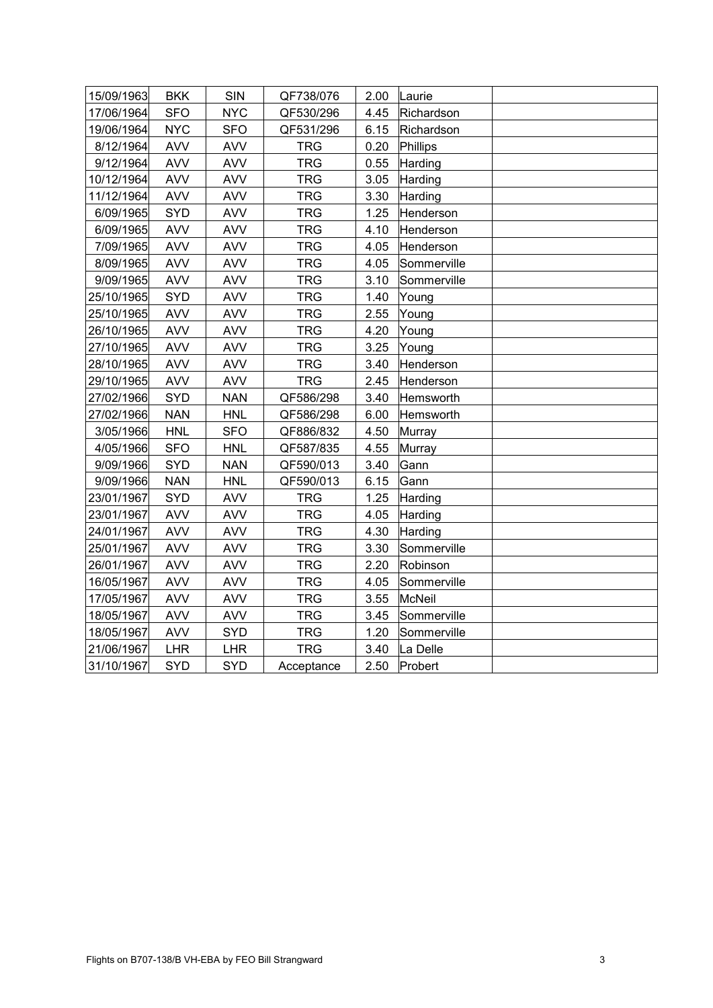| 15/09/1963 | <b>BKK</b> | SIN        | QF738/076  | 2.00 | Laurie        |  |
|------------|------------|------------|------------|------|---------------|--|
| 17/06/1964 | <b>SFO</b> | <b>NYC</b> | QF530/296  | 4.45 | Richardson    |  |
| 19/06/1964 | <b>NYC</b> | <b>SFO</b> | QF531/296  | 6.15 | Richardson    |  |
| 8/12/1964  | <b>AVV</b> | <b>AVV</b> | <b>TRG</b> | 0.20 | Phillips      |  |
| 9/12/1964  | <b>AVV</b> | <b>AVV</b> | <b>TRG</b> | 0.55 | Harding       |  |
| 10/12/1964 | <b>AVV</b> | <b>AVV</b> | <b>TRG</b> | 3.05 | Harding       |  |
| 11/12/1964 | <b>AVV</b> | <b>AVV</b> | <b>TRG</b> | 3.30 | Harding       |  |
| 6/09/1965  | <b>SYD</b> | <b>AVV</b> | <b>TRG</b> | 1.25 | Henderson     |  |
| 6/09/1965  | <b>AVV</b> | <b>AVV</b> | <b>TRG</b> | 4.10 | Henderson     |  |
| 7/09/1965  | <b>AVV</b> | <b>AVV</b> | <b>TRG</b> | 4.05 | Henderson     |  |
| 8/09/1965  | <b>AVV</b> | <b>AVV</b> | <b>TRG</b> | 4.05 | Sommerville   |  |
| 9/09/1965  | <b>AVV</b> | <b>AVV</b> | <b>TRG</b> | 3.10 | Sommerville   |  |
| 25/10/1965 | SYD        | <b>AVV</b> | <b>TRG</b> | 1.40 | Young         |  |
| 25/10/1965 | <b>AVV</b> | <b>AVV</b> | <b>TRG</b> | 2.55 | Young         |  |
| 26/10/1965 | <b>AVV</b> | <b>AVV</b> | <b>TRG</b> | 4.20 | Young         |  |
| 27/10/1965 | <b>AVV</b> | <b>AVV</b> | <b>TRG</b> | 3.25 | Young         |  |
| 28/10/1965 | <b>AVV</b> | <b>AVV</b> | <b>TRG</b> | 3.40 | Henderson     |  |
| 29/10/1965 | <b>AVV</b> | <b>AVV</b> | <b>TRG</b> | 2.45 | Henderson     |  |
| 27/02/1966 | SYD        | <b>NAN</b> | QF586/298  | 3.40 | Hemsworth     |  |
| 27/02/1966 | <b>NAN</b> | <b>HNL</b> | QF586/298  | 6.00 | Hemsworth     |  |
| 3/05/1966  | <b>HNL</b> | <b>SFO</b> | QF886/832  | 4.50 | Murray        |  |
| 4/05/1966  | <b>SFO</b> | <b>HNL</b> | QF587/835  | 4.55 | Murray        |  |
| 9/09/1966  | SYD        | <b>NAN</b> | QF590/013  | 3.40 | Gann          |  |
| 9/09/1966  | <b>NAN</b> | <b>HNL</b> | QF590/013  | 6.15 | Gann          |  |
| 23/01/1967 | SYD        | <b>AVV</b> | <b>TRG</b> | 1.25 | Harding       |  |
| 23/01/1967 | <b>AVV</b> | <b>AVV</b> | <b>TRG</b> | 4.05 | Harding       |  |
| 24/01/1967 | <b>AVV</b> | <b>AVV</b> | <b>TRG</b> | 4.30 | Harding       |  |
| 25/01/1967 | <b>AVV</b> | <b>AVV</b> | <b>TRG</b> | 3.30 | Sommerville   |  |
| 26/01/1967 | <b>AVV</b> | <b>AVV</b> | <b>TRG</b> | 2.20 | Robinson      |  |
| 16/05/1967 | <b>AVV</b> | <b>AVV</b> | <b>TRG</b> | 4.05 | Sommerville   |  |
| 17/05/1967 | <b>AVV</b> | <b>AVV</b> | <b>TRG</b> | 3.55 | <b>McNeil</b> |  |
| 18/05/1967 | <b>AVV</b> | <b>AVV</b> | <b>TRG</b> | 3.45 | Sommerville   |  |
| 18/05/1967 | <b>AVV</b> | <b>SYD</b> | <b>TRG</b> | 1.20 | Sommerville   |  |
| 21/06/1967 | <b>LHR</b> | <b>LHR</b> | <b>TRG</b> | 3.40 | La Delle      |  |
| 31/10/1967 | SYD        | <b>SYD</b> | Acceptance | 2.50 | Probert       |  |